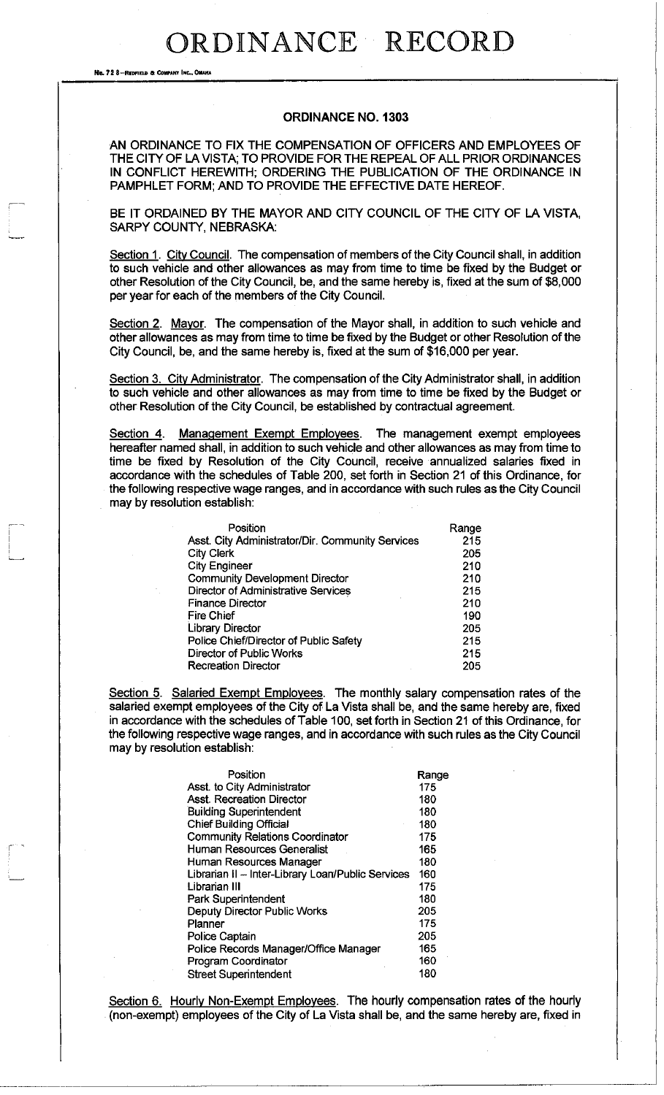No. 72 8-REDFIELD & COMPANY INC., OMAHA

r

#### **ORDINANCE NO. 1303**

AN ORDINANCE TO FIX THE COMPENSATION OF OFFICERS AND EMPLOYEES OF THE CITY OF LA VISTA; TO PROVIDE FOR THE REPEAL OF ALL PRIOR ORDINANCES IN CONFLICT HEREWITH; ORDERING THE PUBLICATION OF THE ORDINANCE IN PAMPHLET FORM; AND TO PROVIDE THE EFFECTIVE DATE HEREOF.

BE IT ORDAINED BY THE MAYOR AND CITY COUNCIL OF THE CITY OF LA VISTA, SARPY COUNTY, NEBRASKA:

Section 1. City Council. The compensation of members of the City Council shall, in addition to such vehicle and other allowances as may from time to time be fixed by the Budget or other Resolution of the City Council, be, and the same hereby is, fixed at the sum of \$8,000 per year for each of the members of the City Council.

Section 2. Mayor. The compensation of the Mayor shall, in addition to such vehicle and other allowances as may from time to time be fixed by the Budget or other Resolution of the City Council, be, and the same hereby is, fixed at the sum of \$16,000 per year.

Section 3. City Administrator. The compensation of the City Administrator shall, in addition to such vehicle and other allowances as may from time to time be fixed by the Budget or other Resolution of the City Council, be established by contractual agreement.

Section 4. Management Exempt Employees. The management exempt employees hereafter named shall, in addition to such vehicle and other allowances as may from time to time be fixed by Resolution of the City Council, receive annualized salaries fixed in accordance with the schedules of Table 200, set forth in Section 21 of this Ordinance, for the following respective wage ranges, and in accordance with such rules as the City Council may by resolution establish:

| Position                                         | Range |
|--------------------------------------------------|-------|
| Asst. City Administrator/Dir. Community Services | 215   |
| <b>City Clerk</b>                                | 205   |
| <b>City Engineer</b>                             | 210   |
| <b>Community Development Director</b>            | 210   |
| <b>Director of Administrative Services</b>       | 215   |
| <b>Finance Director</b>                          | 210   |
| Fire Chief                                       | 190   |
| <b>Library Director</b>                          | 205   |
| Police Chief/Director of Public Safety           | 215   |
| Director of Public Works                         | 215   |
| <b>Recreation Director</b>                       | 205   |

Section 5. Salaried Exempt Employees. The monthly salary compensation rates of the salaried exempt employees of the City of La Vista shall be, and the same hereby are, fixed in accordance with the schedules of Table 100, set forth in Section 21 of this Ordinance, for the following respective wage ranges, and in accordance with such rules as the City Council may by resolution establish:

| Position                                          | Range |
|---------------------------------------------------|-------|
| Asst. to City Administrator                       | 175   |
| <b>Asst. Recreation Director</b>                  | 180   |
| <b>Building Superintendent</b>                    | 180   |
| <b>Chief Building Official</b>                    | 180   |
| <b>Community Relations Coordinator</b>            | 175   |
| <b>Human Resources Generalist</b>                 | 165   |
| Human Resources Manager                           | 180   |
| Librarian II - Inter-Library Loan/Public Services | 160   |
| Librarian III                                     | 175   |
| <b>Park Superintendent</b>                        | 180   |
| <b>Deputy Director Public Works</b>               | 205   |
| Planner                                           | 175   |
| Police Captain                                    | 205   |
| Police Records Manager/Office Manager             | 165   |
| Program Coordinator                               | 160   |
| <b>Street Superintendent</b>                      | 180   |

Section 6. Hourly Non-Exempt Employees. The hourly compensation rates of the hourly (non-exempt) employees of the City of La Vista shall be, and the same hereby are, fixed in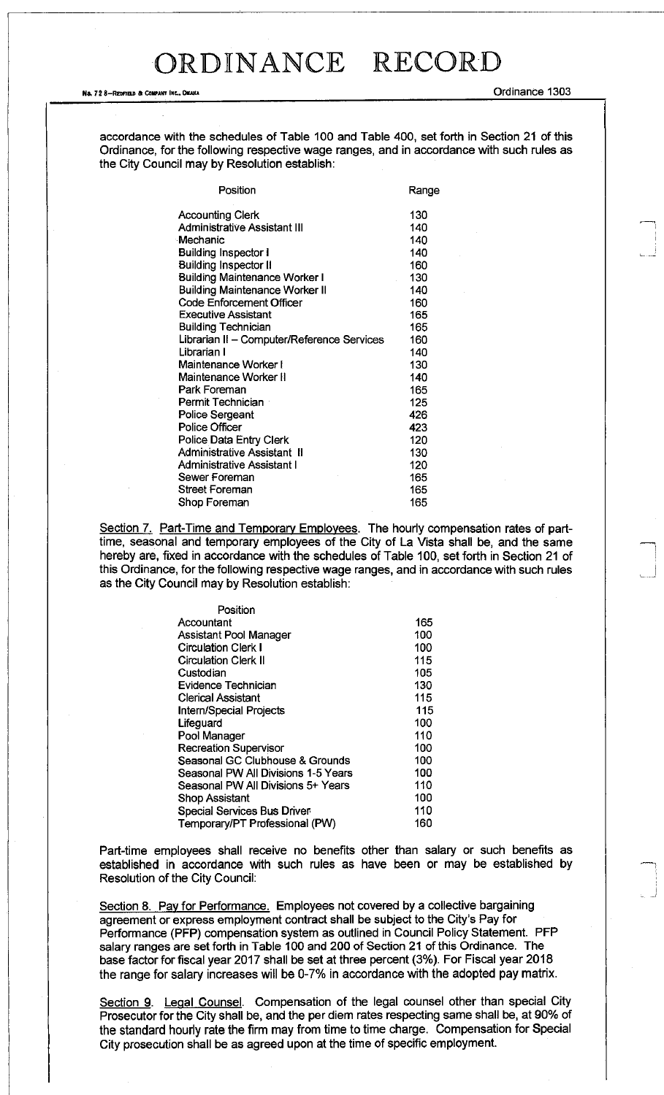Ne, 72 8—Redfield & Company Inc., Omaha (New York) And The Company of Company of Company of Company of Company of Company of Company of Company of Company of Company of Company of Company of Company of Company of Company o

accordance with the schedules of Table 100 and Table 400, set forth in Section 21 of this Ordinance, for the following respective wage ranges, and in accordance with such rules as the City Council may by Resolution establish:

| Position                                   | Range |
|--------------------------------------------|-------|
| <b>Accounting Clerk</b>                    | 130   |
| <b>Administrative Assistant III</b>        | 140   |
| Mechanic                                   | 140   |
| <b>Building Inspector I</b>                | 140   |
| <b>Building Inspector II</b>               | 160   |
| <b>Building Maintenance Worker I</b>       | 130   |
| <b>Building Maintenance Worker II</b>      | 140   |
| <b>Code Enforcement Officer</b>            | 160   |
| <b>Executive Assistant</b>                 | 165   |
| <b>Building Technician</b>                 | 165   |
| Librarian II - Computer/Reference Services | 160   |
| Librarian I                                | 140   |
| Maintenance Worker I                       | 130   |
| Maintenance Worker II                      | 140   |
| Park Foreman                               | 165   |
| Permit Technician                          | 125   |
| <b>Police Sergeant</b>                     | 426   |
| <b>Police Officer</b>                      | 423   |
| Police Data Entry Clerk                    | 120   |
| Administrative Assistant II                | 130   |
| Administrative Assistant I                 | 120   |
| Sewer Foreman                              | 165   |
| Street Foreman                             | 165   |
| Shop Foreman                               | 165   |

Section 7. Part-Time and Temporary Employees. The hourly compensation rates of parttime, seasonal and temporary employees of the City of La Vista shall be, and the same hereby are, fixed in accordance with the schedules of Table 100, set forth in Section 21 of this Ordinance, for the following respective wage ranges, and in accordance with such rules as the City Council may by Resolution establish:

| Position                            |     |
|-------------------------------------|-----|
| Accountant                          | 165 |
| Assistant Pool Manager              | 100 |
| <b>Circulation Clerk I</b>          | 100 |
| <b>Circulation Clerk II</b>         | 115 |
| Custodian                           | 105 |
| Evidence Technician                 | 130 |
| <b>Clerical Assistant</b>           | 115 |
| <b>Intern/Special Projects</b>      | 115 |
| Lifeguard                           | 100 |
| Pool Manager                        | 110 |
| <b>Recreation Supervisor</b>        | 100 |
| Seasonal GC Clubhouse & Grounds     | 100 |
| Seasonal PW All Divisions 1-5 Years | 100 |
| Seasonal PW All Divisions 5+ Years  | 110 |
| Shop Assistant                      | 100 |
| Special Services Bus Driver         | 110 |
| Temporary/PT Professional (PW)      | 160 |

Part-time employees shall receive no benefits other than salary or such benefits as established in accordance with such rules as have been or may be established by Resolution of the City Council:

Section 8. Pay for Performance. Employees not covered by a collective bargaining agreement or express employment contract shall be subject to the City's Pay for Performance (PFP) compensation system as outlined in Council Policy Statement. PFP salary ranges are set forth in Table 100 and 200 of Section 21 of this Ordinance. The base factor for fiscal year 2017 shall be set at three percent (3%). For Fiscal year 2018 the range for salary increases will be 0-7% in accordance with the adopted pay matrix.

Section 9. Legal Counsel. Compensation of the legal counsel other than special City Prosecutor for the City shall be, and the per diem rates respecting same shall be, at 90% of the standard hourly rate the firm may from time to time charge. Compensation for Special City prosecution shall be as agreed upon at the time of specific employment.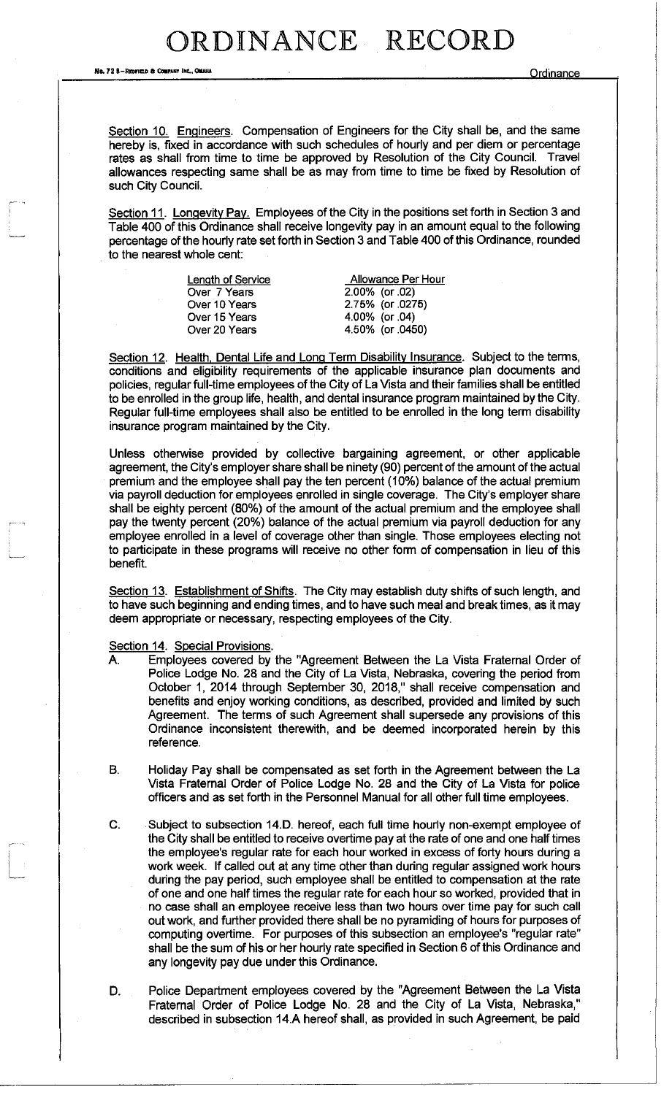No. 72 8-REDFIELD & COMPANY INC., OMAHA COMPANY INC., OMAHA

Section 10. Engineers. Compensation of Engineers for the City shall be, and the same hereby is, fixed in accordance with such schedules of hourly and per diem or percentage rates as shall from time to time be approved by Resolution of the City Council. Travel allowances respecting same shall be as may from time to time be fixed by Resolution of such City Council.

Section 11. Longevity Pay. Employees of the City in the positions set forth in Section 3 and Table 400 of this Ordinance shall receive longevity pay in an amount equal to the following percentage of the hourly rate set forth in Section 3 and Table 400 of this Ordinance, rounded to the nearest whole cent:

| Length of Service | Allowance Per Hour |  |
|-------------------|--------------------|--|
| Over 7 Years      | 2.00% (or 02)      |  |
| Over 10 Years     | 2.75% (or .0275)   |  |
| Over 15 Years     | 4.00% (or .04)     |  |
| Over 20 Years     | 4.50% (or 0450)    |  |
|                   |                    |  |

Section 12. Health, Dental Life and Long Term Disability Insurance. Subject to the terms, conditions and eligibility requirements of the applicable insurance plan documents and policies, regular full-time employees of the City of La Vista and their families shall be entitled to be enrolled in the group life, health, and dental insurance program maintained by the City. Regular full-time employees shall also be entitled to be enrolled in the long term disability insurance program maintained by the City.

Unless otherwise provided by collective bargaining agreement, or other applicable agreement, the City's employer share shall be ninety (90) percent of the amount of the actual premium and the employee shall pay the ten percent (10%) balance of the actual premium via payroll deduction for employees enrolled in single coverage. The City's employer share shall be eighty percent (80%) of the amount of the actual premium and the employee shall pay the twenty percent (20%) balance of the actual premium via payroll deduction for any employee enrolled in a level of coverage other than single. Those employees electing not to participate in these programs will receive no other form of compensation in lieu of this benefit.

Section 13. Establishment of Shifts. The City may establish duty shifts of such length, and to have such beginning and ending times, and to have such meal and break times, as it may deem appropriate or necessary, respecting employees of the City.

Section 14. Special Provisions.

- A. Employees covered by the "Agreement Between the La Vista Fraternal Order of Police Lodge No. 28 and the City of La Vista, Nebraska, covering the period from October 1, 2014 through September 30, 2018," shall receive compensation and benefits and enjoy working conditions, as described, provided and limited by such Agreement. The terms of such Agreement shall supersede any provisions of this Ordinance inconsistent therewith, and be deemed incorporated herein by this reference.
- B. Holiday Pay shall be compensated as set forth in the Agreement between the La Vista Fraternal Order of Police Lodge No. 28 and the City of La Vista for police officers and as set forth in the Personnel Manual for all other full time employees.
- C. Subject to subsection 14.D. hereof, each full time hourly non-exempt employee of the City shall be entitled to receive overtime pay at the rate of one and one half times the employee's regular rate for each hour worked in excess of forty hours during a work week. If called out at any time other than during regular assigned work hours during the pay period, such employee shall be entitled to compensation at the rate of one and one half times the regular rate for each hour so worked, provided that in no case shall an employee receive less than two hours over time pay for such call out work, and further provided there shall be no pyramiding of hours for purposes of computing overtime. For purposes of this subsection an employee's "regular rate" shall be the sum of his or her hourly rate specified in Section 6 of this Ordinance and any longevity pay due under this Ordinance.
- D. Police Department employees covered by the "Agreement Between the La Vista Fraternal Order of Police Lodge No. 28 and the City of La Vista, Nebraska," described in subsection 14.A hereof shall, as provided in such Agreement, be paid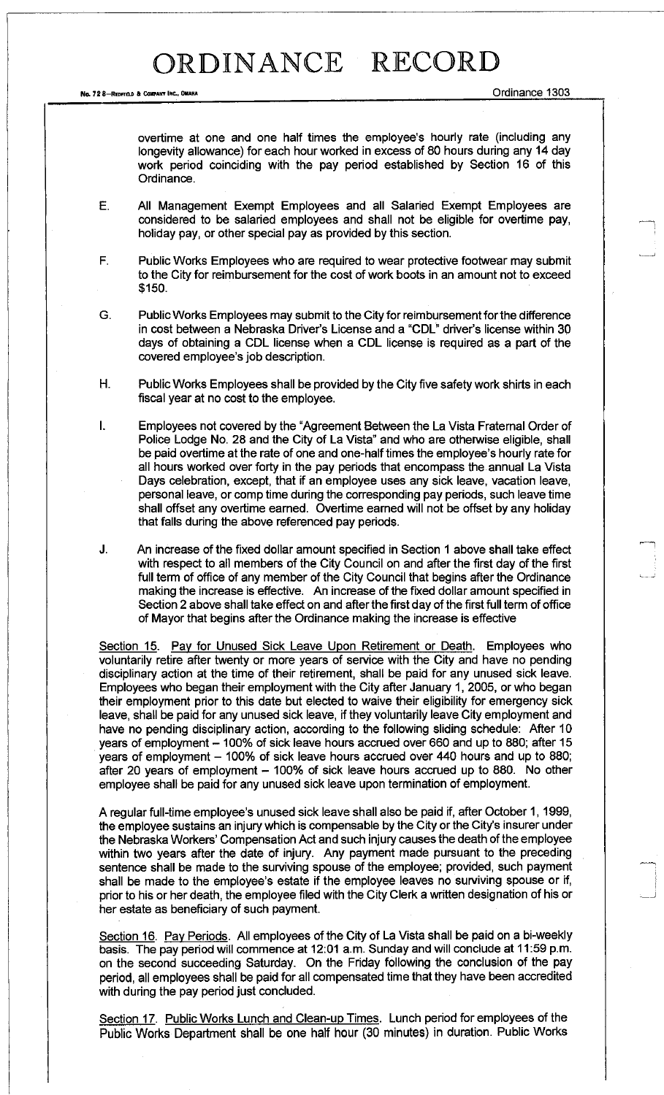Ne. 72 8-Redfield & Company Inc., Omaha Ordinance 1303

overtime at one and one half times the employee's hourly rate (including any longevity allowance) for each hour worked in excess of 80 hours during any 14 day work period coinciding with the pay period established by Section 16 of this Ordinance.

E. All Management Exempt Employees and all Salaried Exempt Employees are considered to be salaried employees and shall not be eligible for overtime pay, holiday pay, or other special pay as provided by this section.

F. Public Works Employees who are required to wear protective footwear may submit to the City for reimbursement for the cost of work boots in an amount not to exceed \$150.

G. Public Works Employees may submit to the City for reimbursement for the difference in cost between a Nebraska Driver's License and a "CDL" driver's license within 30 days of obtaining a CDL license when a CDL license is required as a part of the covered employee's job description.

H. Public Works Employees shall be provided by the City five safety work shirts in each fiscal year at no cost to the employee.

I. Employees not covered by the "Agreement Between the La Vista Fraternal Order of Police Lodge No. 28 and the City of La Vista" and who are otherwise eligible, shall be paid overtime at the rate of one and one-half times the employee's hourly rate for all hours worked over forty in the pay periods that encompass the annual La Vista Days celebration, except, that if an employee uses any sick leave, vacation leave, personal leave, or comp time during the corresponding pay periods, such leave time shall offset any overtime earned. Overtime earned will not be offset by any holiday that falls during the above referenced pay periods.

J. An increase of the fixed dollar amount specified in Section 1 above shall take effect with respect to all members of the City Council on and after the first day of the first full term of office of any member of the City Council that begins after the Ordinance making the increase is effective. An increase of the fixed dollar amount specified in Section 2 above shall take effect on and after the first day of the first full term of office of Mayor that begins after the Ordinance making the increase is effective

Section 15. Pay for Unused Sick Leave Upon Retirement or Death. Employees who voluntarily retire after twenty or more years of service with the City and have no pending disciplinary action at the time of their retirement, shall be paid for any unused sick leave. Employees who began their employment with the City after January 1, 2005, or who began their employment prior to this date but elected to waive their eligibility for emergency sick leave, shall be paid for any unused sick leave, if they voluntarily leave City employment and have no pending disciplinary action, according to the following sliding schedule: After 10 years of employment - 100% of sick leave hours accrued over 660 and up to 880; after 15 years of employment  $-$  100% of sick leave hours accrued over 440 hours and up to 880; after 20 years of employment - 100% of sick leave hours accrued up to 880. No other employee shall be paid for any unused sick leave upon termination of employment.

A regular full-time employee's unused sick leave shall also be paid if, after October 1,1999, the employee sustains an injury which is compensable by the City or the City's insurer under the Nebraska Workers' Compensation Act and such injury causes the death of the employee within two years after the date of injury. Any payment made pursuant to the preceding sentence shall be made to the surviving spouse of the employee; provided, such payment shall be made to the employee's estate if the employee leaves no surviving spouse or if, prior to his or her death, the employee filed with the City Clerk a written designation of his or her estate as beneficiary of such payment.

Section 16. Pay Periods. All employees of the City of La Vista shall be paid on a bi-weekly basis. The pay period will commence at 12:01 a.m. Sunday and will conclude at 11:59 p.m. on the second succeeding Saturday. On the Friday following the conclusion of the pay period, all employees shall be paid for all compensated time that they have been accredited with during the pay period just concluded.

Section 17. Public Works Lunch and Clean-up Times. Lunch period for employees of the Public Works Department shall be one half hour (30 minutes) in duration. Public Works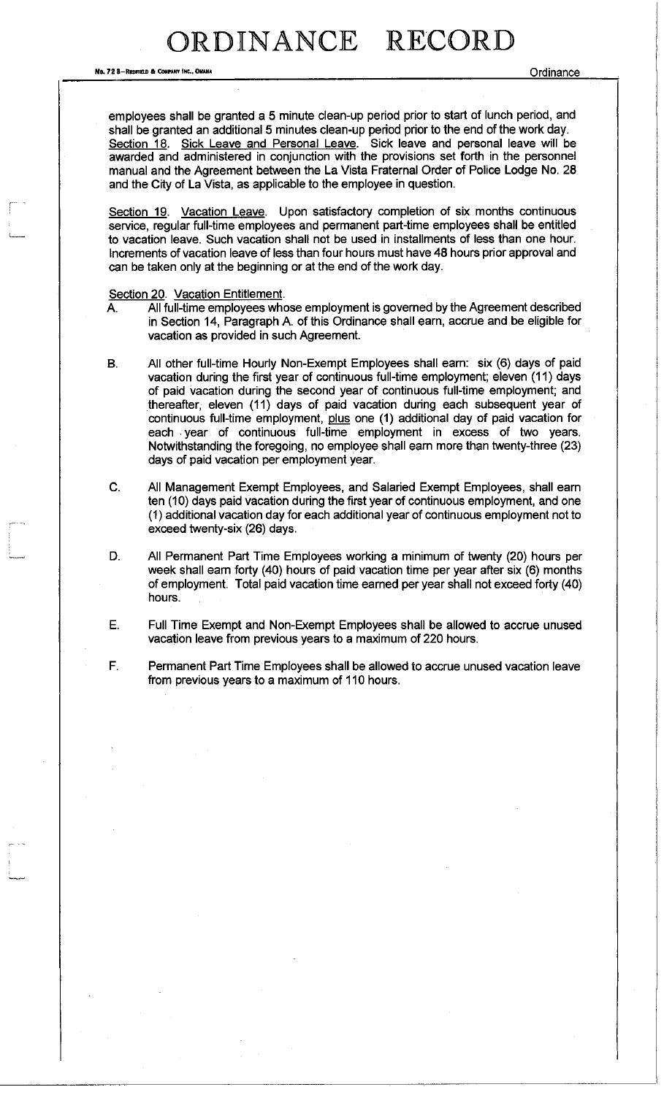No. 72 B-REDFIELD & CONPAHT INC., OMAHA CONPATT INC. ON A CONFIDENT COMPANY INC., ON A CONFIDENT COMPANY INC.,

employees shall be granted a 5 minute clean-up period prior to start of lunch period, and shall be granted an additional 5 minutes clean-up period prior to the end of the work day. Section 18. Sick Leave and Personal Leave. Sick leave and personal leave will be awarded and administered in conjunction with the provisions set forth in the personnel manual and the Agreement between the La Vista Fraternal Order of Police Lodge No. 28 and the City of La Vista, as applicable to the employee in question.

Section 19. Vacation Leave. Upon satisfactory completion of six months continuous service, regular full-time employees and permanent part-time employees shall be entitled to vacation leave. Such vacation shall not be used in installments of less than one hour. Increments of vacation leave of less than four hours must have 48 hours prior approval and can be taken only at the beginning or at the end of the work day.

Section 20. Vacation Entitlement.

- A. All full-time employees whose employment is governed by the Agreement described in Section 14, Paragraph A. of this Ordinance shall earn, accrue and be eligible for vacation as provided in such Agreement.
- B. All other full-time Hourly Non-Exempt Employees shall earn: six (6) days of paid vacation during the first year of continuous full-time employment; eleven (11) days of paid vacation during the second year of continuous full-time employment; and thereafter, eleven (11) days of paid vacation during each subsequent year of continuous full-time employment, plus one (1) additional day of paid vacation for each year of continuous full-time employment in excess of two years. Notwithstanding the foregoing, no employee shall earn more than twenty-three (23) days of paid vacation per employment year.
- C. All Management Exempt Employees, and Salaried Exempt Employees, shall earn ten (10) days paid vacation during the first year of continuous employment, and one (1) additional vacation day for each additional year of continuous employment not to exceed twenty-six (26) days.
- D. All Permanent Part Time Employees working a minimum of twenty (20) hours per week shall earn forty (40) hours of paid vacation time per year after six (6) months of employment. Total paid vacation time earned per year shall not exceed forty (40) hours.
- E. Full Time Exempt and Non-Exempt Employees shall be allowed to accrue unused vacation leave from previous years to a maximum of 220 hours.
- F. Permanent Part Time Employees shall be allowed to accrue unused vacation leave from previous years to a maximum of 110 hours.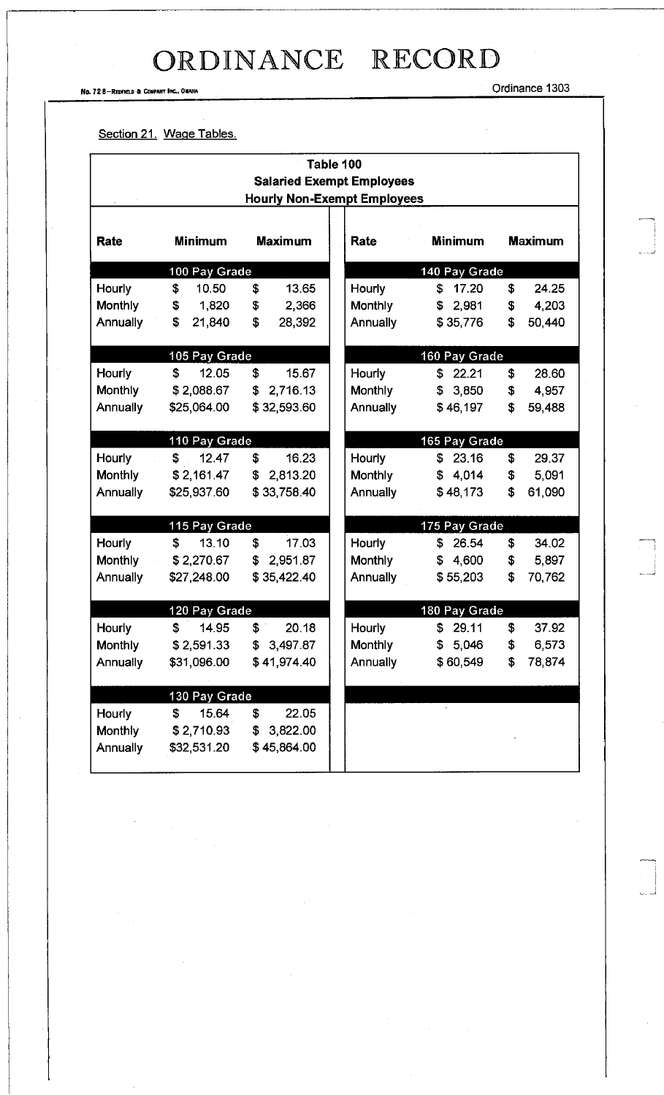No. 72 8-REDFIELD & COMPANY INC., OMAHA ORDINANT INC. 2004 - COMPANY INC., OMAHA

 $\begin{array}{c} 1 \\ 1 \\ 1 \end{array}$ 

#### Section 21. Wage Tables.

| Table 100                                                              |                                |                |                 |                |    |                |
|------------------------------------------------------------------------|--------------------------------|----------------|-----------------|----------------|----|----------------|
| <b>Salaried Exempt Employees</b><br><b>Hourly Non-Exempt Employees</b> |                                |                |                 |                |    |                |
|                                                                        |                                |                |                 |                |    |                |
| Rate                                                                   | <b>Minimum</b>                 | <b>Maximum</b> | Rate            | <b>Minimum</b> |    | <b>Maximum</b> |
|                                                                        | 100 Pay Grade                  |                | 140 Pay Grade   |                |    |                |
| Hourly                                                                 | \$<br>10.50                    | \$<br>13.65    | Hourly          | \$<br>17.20    | \$ | 24.25          |
| <b>Monthly</b>                                                         | 1,820<br>\$                    | \$<br>2,366    | Monthly         | \$2,981        | \$ | 4,203          |
| Annually                                                               | \$<br>21,840                   | \$<br>28,392   | <b>Annually</b> | \$35,776       | \$ | 50,440         |
|                                                                        | 105 Pay Grade                  |                | 160 Pay Grade   |                |    |                |
| Hourly                                                                 | \$<br>12.05                    | \$<br>15.67    | <b>Hourly</b>   | 22.21<br>\$    | \$ | 28.60          |
| <b>Monthly</b>                                                         | \$2,088.67                     | \$2,716.13     | <b>Monthly</b>  | \$3,850        | \$ | 4,957          |
| Annually                                                               | \$25,064.00                    | \$32,593.60    | <b>Annually</b> | \$46,197       | \$ | 59,488         |
|                                                                        | 110 Pay Grade<br>165 Pay Grade |                |                 |                |    |                |
| Hourly                                                                 | \$<br>12.47                    | \$<br>16.23    | Hourly          | \$23.16        | \$ | 29.37          |
| <b>Monthly</b>                                                         | \$2,161.47                     | \$2,813.20     | Monthly         | \$4,014        | \$ | 5,091          |
| <b>Annually</b>                                                        | \$25,937.60                    | \$33,758.40    | <b>Annually</b> | \$48,173       | \$ | 61,090         |
|                                                                        | 115 Pay Grade                  |                |                 | 175 Pay Grade  |    |                |
| Hourly                                                                 | \$<br>13.10                    | 17.03<br>\$    | Hourly          | 26.54<br>\$    | \$ | 34.02          |
| <b>Monthly</b>                                                         | \$2,270.67                     | 2.951.87<br>\$ | <b>Monthly</b>  | \$4,600        | \$ | 5,897          |
| Annually                                                               | \$27,248.00                    | \$35,422.40    | <b>Annually</b> | \$55,203       | \$ | 70,762         |
|                                                                        | 120 Pay Grade                  |                |                 | 180 Pay Grade  |    |                |
| Hourly                                                                 | \$<br>14.95                    | \$<br>20.18    | Hourly          | \$29.11        | \$ | 37.92          |
| Monthly                                                                | \$2,591.33                     | \$3,497.87     | Monthly         | \$5,046        | \$ | 6,573          |
| Annually                                                               | \$31,096.00                    | \$41,974.40    | Annually        | \$60,549       | \$ | 78,874         |
|                                                                        | 130 Pay Grade                  |                |                 |                |    |                |
| Hourly                                                                 | 15.64<br>\$                    | \$<br>22.05    |                 |                |    |                |
| Monthly                                                                | \$2,710.93                     | \$3,822.00     |                 |                |    |                |
| Annually                                                               | \$32,531.20                    | \$45,864.00    |                 |                |    |                |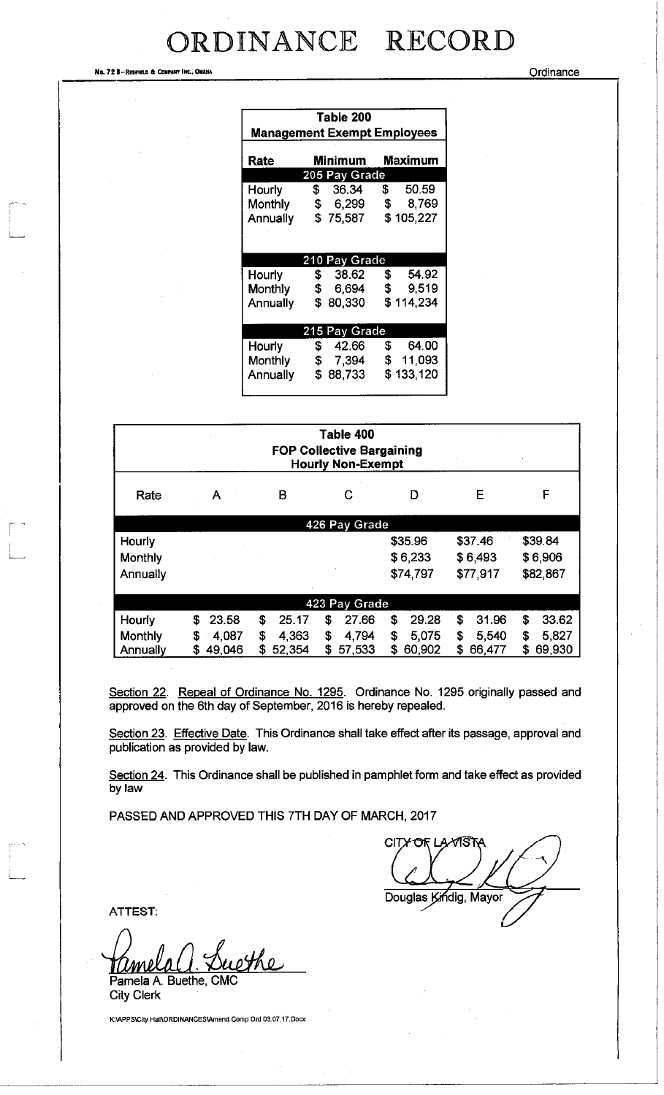No. 72 B—Redfield & Company Inc., Omana

| Table 200                          |                    |                    |  |  |  |
|------------------------------------|--------------------|--------------------|--|--|--|
| <b>Management Exempt Employees</b> |                    |                    |  |  |  |
| Rate                               | Minimum            | Maximum            |  |  |  |
|                                    | 205 Pay Grade      |                    |  |  |  |
| <b>Hourly</b>                      |                    | $$36.34$ \$50.59   |  |  |  |
| Monthly                            |                    | \$ 6,299 \$ 8,769  |  |  |  |
| <b>Annually</b>                    | \$75,587           | \$105,227          |  |  |  |
|                                    |                    |                    |  |  |  |
|                                    |                    |                    |  |  |  |
|                                    | 210 Pay Grade      |                    |  |  |  |
| Hourly                             | \$38.62            | \$54.92            |  |  |  |
| Monthly                            | <b>\$</b><br>6,694 | \$9,519            |  |  |  |
| Annually                           | \$80,330           | \$114,234          |  |  |  |
|                                    |                    |                    |  |  |  |
| 215 Pay Grade                      |                    |                    |  |  |  |
| Hourly                             | \$42.66            | \$ 64.00           |  |  |  |
| Monthly                            |                    | \$ 7,394 \$ 11,093 |  |  |  |
| Annually                           | \$88,733           | \$133,120          |  |  |  |
|                                    |                    |                    |  |  |  |

| Table 400<br><b>FOP Collective Bargaining</b><br><b>Hourly Non-Exempt</b> |              |              |              |             |             |             |
|---------------------------------------------------------------------------|--------------|--------------|--------------|-------------|-------------|-------------|
| Rate                                                                      | А            | В            | C            | D           | Е           | F           |
| 426 Pay Grade                                                             |              |              |              |             |             |             |
| Hourly                                                                    |              |              |              | \$35.96     | \$37.46     | \$39.84     |
| Monthly                                                                   |              |              |              | \$6,233     | \$6,493     | \$6,906     |
| Annually                                                                  |              |              |              | \$74,797    | \$77,917    | \$82,867    |
| 423 Pay Grade                                                             |              |              |              |             |             |             |
| Hourly                                                                    | 23.58<br>£   | \$<br>25.17  | 27.66<br>\$  | \$<br>29.28 | \$<br>31.96 | 33.62<br>\$ |
| Monthly                                                                   | 4,087<br>\$  | 4.363<br>\$  | 4,794<br>\$  | \$<br>5,075 | 5.540<br>\$ | \$<br>5,827 |
| Annually                                                                  | 49,046<br>\$ | 52.354<br>S. | 57,533<br>\$ | 60,902<br>S | 66,477<br>S | 69,930<br>S |

Section 22. Repeal of Ordinance No. 1295. Ordinance No. 1295 originally passed and approved on the 6th day of September, 2016 is hereby repealed.

Section 23. Effective Date. This Ordinance shall take effect after its passage, approval and publication as provided by law.

Section 24. This Ordinance shall be published in pamphlet form and take effect as provided by law

PASSED AND APPROVED THIS 7TH DAY OF MARCH, 2017

**CITX** Douglas Kindig, Mayor

ATTEST:

ethe Pamela A. Buethe, CMC

City Clerk

K:\APPS\City Hall\ORDINANCES\Amend Comp Ord 03.07.17.Docx